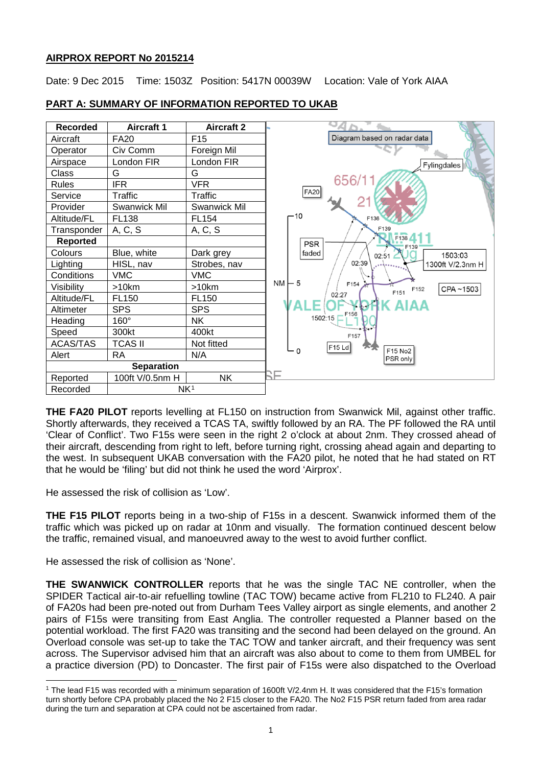# **AIRPROX REPORT No 2015214**

Date: 9 Dec 2015 Time: 1503Z Position: 5417N 00039W Location: Vale of York AIAA



# **PART A: SUMMARY OF INFORMATION REPORTED TO UKAB**

**THE FA20 PILOT** reports levelling at FL150 on instruction from Swanwick Mil, against other traffic. Shortly afterwards, they received a TCAS TA, swiftly followed by an RA. The PF followed the RA until 'Clear of Conflict'. Two F15s were seen in the right 2 o'clock at about 2nm. They crossed ahead of their aircraft, descending from right to left, before turning right, crossing ahead again and departing to the west. In subsequent UKAB conversation with the FA20 pilot, he noted that he had stated on RT that he would be 'filing' but did not think he used the word 'Airprox'.

He assessed the risk of collision as 'Low'.

**THE F15 PILOT** reports being in a two-ship of F15s in a descent. Swanwick informed them of the traffic which was picked up on radar at 10nm and visually. The formation continued descent below the traffic, remained visual, and manoeuvred away to the west to avoid further conflict.

He assessed the risk of collision as 'None'.

**THE SWANWICK CONTROLLER** reports that he was the single TAC NE controller, when the SPIDER Tactical air-to-air refuelling towline (TAC TOW) became active from FL210 to FL240. A pair of FA20s had been pre-noted out from Durham Tees Valley airport as single elements, and another 2 pairs of F15s were transiting from East Anglia. The controller requested a Planner based on the potential workload. The first FA20 was transiting and the second had been delayed on the ground. An Overload console was set-up to take the TAC TOW and tanker aircraft, and their frequency was sent across. The Supervisor advised him that an aircraft was also about to come to them from UMBEL for a practice diversion (PD) to Doncaster. The first pair of F15s were also dispatched to the Overload

<span id="page-0-0"></span> $\overline{\phantom{a}}$ <sup>1</sup> The lead F15 was recorded with a minimum separation of 1600ft V/2.4nm H. It was considered that the F15's formation turn shortly before CPA probably placed the No 2 F15 closer to the FA20. The No2 F15 PSR return faded from area radar during the turn and separation at CPA could not be ascertained from radar.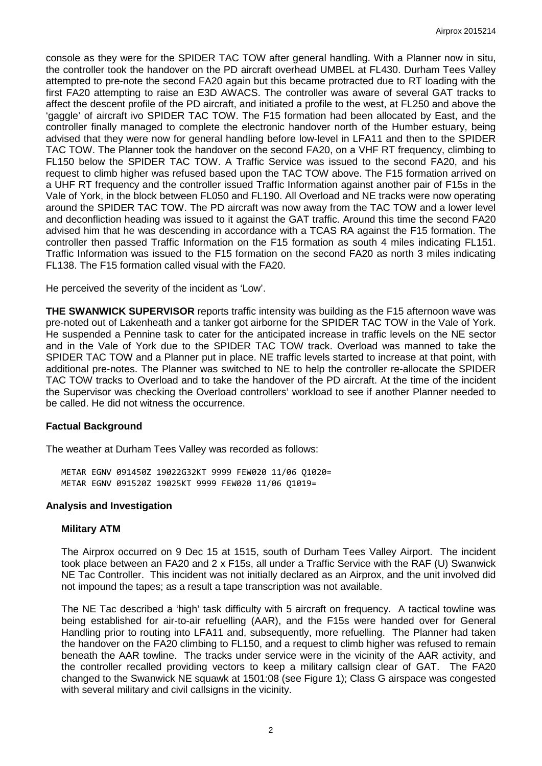console as they were for the SPIDER TAC TOW after general handling. With a Planner now in situ, the controller took the handover on the PD aircraft overhead UMBEL at FL430. Durham Tees Valley attempted to pre-note the second FA20 again but this became protracted due to RT loading with the first FA20 attempting to raise an E3D AWACS. The controller was aware of several GAT tracks to affect the descent profile of the PD aircraft, and initiated a profile to the west, at FL250 and above the 'gaggle' of aircraft ivo SPIDER TAC TOW. The F15 formation had been allocated by East, and the controller finally managed to complete the electronic handover north of the Humber estuary, being advised that they were now for general handling before low-level in LFA11 and then to the SPIDER TAC TOW. The Planner took the handover on the second FA20, on a VHF RT frequency, climbing to FL150 below the SPIDER TAC TOW. A Traffic Service was issued to the second FA20, and his request to climb higher was refused based upon the TAC TOW above. The F15 formation arrived on a UHF RT frequency and the controller issued Traffic Information against another pair of F15s in the Vale of York, in the block between FL050 and FL190. All Overload and NE tracks were now operating around the SPIDER TAC TOW. The PD aircraft was now away from the TAC TOW and a lower level and deconfliction heading was issued to it against the GAT traffic. Around this time the second FA20 advised him that he was descending in accordance with a TCAS RA against the F15 formation. The controller then passed Traffic Information on the F15 formation as south 4 miles indicating FL151. Traffic Information was issued to the F15 formation on the second FA20 as north 3 miles indicating FL138. The F15 formation called visual with the FA20.

He perceived the severity of the incident as 'Low'.

**THE SWANWICK SUPERVISOR** reports traffic intensity was building as the F15 afternoon wave was pre-noted out of Lakenheath and a tanker got airborne for the SPIDER TAC TOW in the Vale of York. He suspended a Pennine task to cater for the anticipated increase in traffic levels on the NE sector and in the Vale of York due to the SPIDER TAC TOW track. Overload was manned to take the SPIDER TAC TOW and a Planner put in place. NE traffic levels started to increase at that point, with additional pre-notes. The Planner was switched to NE to help the controller re-allocate the SPIDER TAC TOW tracks to Overload and to take the handover of the PD aircraft. At the time of the incident the Supervisor was checking the Overload controllers' workload to see if another Planner needed to be called. He did not witness the occurrence.

# **Factual Background**

The weather at Durham Tees Valley was recorded as follows:

METAR EGNV 091450Z 19022G32KT 9999 FEW020 11/06 Q1020= METAR EGNV 091520Z 19025KT 9999 FEW020 11/06 Q1019=

# **Analysis and Investigation**

#### **Military ATM**

The Airprox occurred on 9 Dec 15 at 1515, south of Durham Tees Valley Airport. The incident took place between an FA20 and 2 x F15s, all under a Traffic Service with the RAF (U) Swanwick NE Tac Controller. This incident was not initially declared as an Airprox, and the unit involved did not impound the tapes; as a result a tape transcription was not available.

The NE Tac described a 'high' task difficulty with 5 aircraft on frequency. A tactical towline was being established for air-to-air refuelling (AAR), and the F15s were handed over for General Handling prior to routing into LFA11 and, subsequently, more refuelling. The Planner had taken the handover on the FA20 climbing to FL150, and a request to climb higher was refused to remain beneath the AAR towline. The tracks under service were in the vicinity of the AAR activity, and the controller recalled providing vectors to keep a military callsign clear of GAT. The FA20 changed to the Swanwick NE squawk at 1501:08 (see Figure 1); Class G airspace was congested with several military and civil callsigns in the vicinity.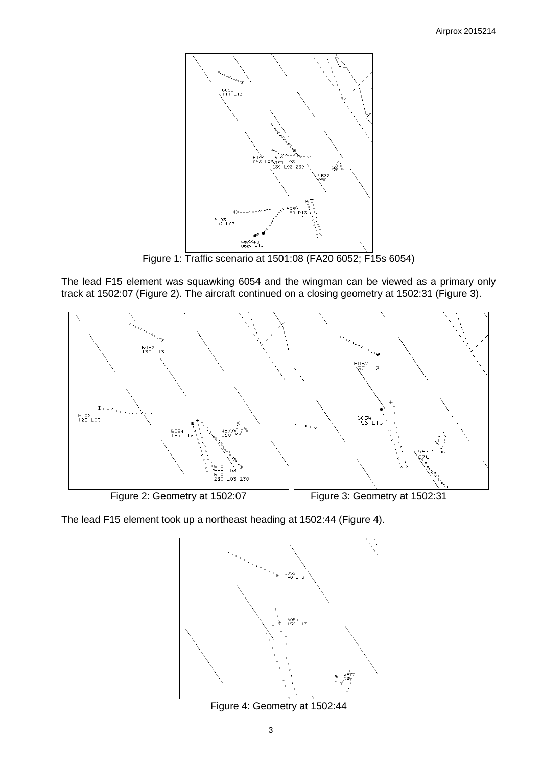

Figure 1: Traffic scenario at 1501:08 (FA20 6052; F15s 6054)

The lead F15 element was squawking 6054 and the wingman can be viewed as a primary only track at 1502:07 (Figure 2). The aircraft continued on a closing geometry at 1502:31 (Figure 3).



The lead F15 element took up a northeast heading at 1502:44 (Figure 4).



Figure 4: Geometry at 1502:44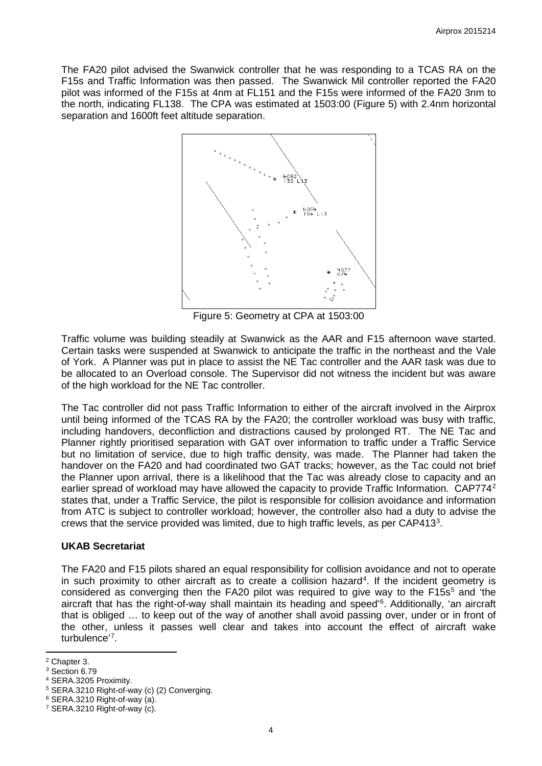The FA20 pilot advised the Swanwick controller that he was responding to a TCAS RA on the F15s and Traffic Information was then passed. The Swanwick Mil controller reported the FA20 pilot was informed of the F15s at 4nm at FL151 and the F15s were informed of the FA20 3nm to the north, indicating FL138. The CPA was estimated at 1503:00 (Figure 5) with 2.4nm horizontal separation and 1600ft feet altitude separation.



Figure 5: Geometry at CPA at 1503:00

Traffic volume was building steadily at Swanwick as the AAR and F15 afternoon wave started. Certain tasks were suspended at Swanwick to anticipate the traffic in the northeast and the Vale of York. A Planner was put in place to assist the NE Tac controller and the AAR task was due to be allocated to an Overload console. The Supervisor did not witness the incident but was aware of the high workload for the NE Tac controller.

The Tac controller did not pass Traffic Information to either of the aircraft involved in the Airprox until being informed of the TCAS RA by the FA20; the controller workload was busy with traffic, including handovers, deconfliction and distractions caused by prolonged RT. The NE Tac and Planner rightly prioritised separation with GAT over information to traffic under a Traffic Service but no limitation of service, due to high traffic density, was made. The Planner had taken the handover on the FA20 and had coordinated two GAT tracks; however, as the Tac could not brief the Planner upon arrival, there is a likelihood that the Tac was already close to capacity and an earlier spread of workload may have allowed the capacity to provide Traffic Information. CAP774<sup>[2](#page-3-0)</sup> states that, under a Traffic Service, the pilot is responsible for collision avoidance and information from ATC is subject to controller workload; however, the controller also had a duty to advise the crews that the service provided was limited, due to high traffic levels, as per CAP41[3](#page-3-1)<sup>3</sup>.

## **UKAB Secretariat**

The FA20 and F15 pilots shared an equal responsibility for collision avoidance and not to operate in such proximity to other aircraft as to create a collision hazard<sup>[4](#page-3-2)</sup>. If the incident geometry is considered as converging then the FA20 pilot was required to give way to the F1[5](#page-3-3) $s<sup>5</sup>$  and 'the aircraft that has the right-of-way shall maintain its heading and speed' [6](#page-3-4) . Additionally, 'an aircraft that is obliged … to keep out of the way of another shall avoid passing over, under or in front of the other, unless it passes well clear and takes into account the effect of aircraft wake turbulence'<sup>[7](#page-3-5)</sup>.

 $\overline{\phantom{a}}$ 

<span id="page-3-0"></span><sup>2</sup> Chapter 3.

<span id="page-3-1"></span><sup>&</sup>lt;sup>3</sup> Section 6.79

<span id="page-3-2"></span><sup>4</sup> SERA.3205 Proximity.

<span id="page-3-3"></span><sup>5</sup> SERA.3210 Right-of-way (c) (2) Converging.

<span id="page-3-4"></span><sup>6</sup> SERA.3210 Right-of-way (a).

<span id="page-3-5"></span> $7$  SERA.3210 Right-of-way (c).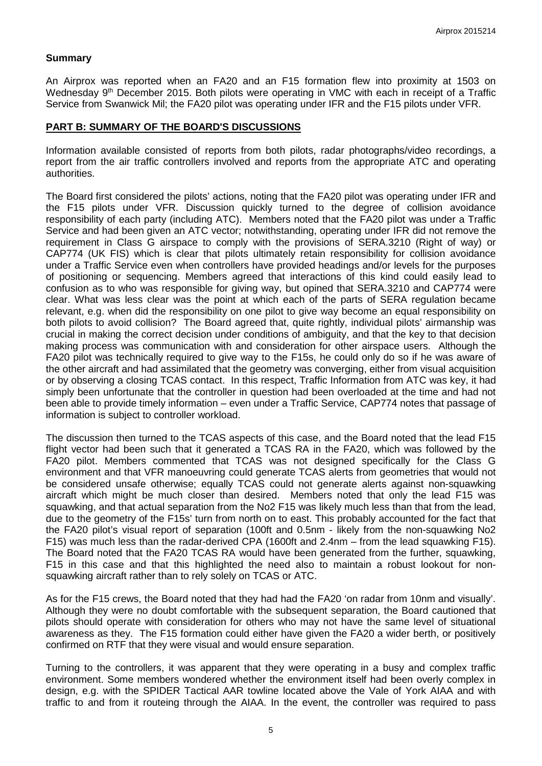#### **Summary**

An Airprox was reported when an FA20 and an F15 formation flew into proximity at 1503 on Wednesday 9<sup>th</sup> December 2015. Both pilots were operating in VMC with each in receipt of a Traffic Service from Swanwick Mil; the FA20 pilot was operating under IFR and the F15 pilots under VFR.

## **PART B: SUMMARY OF THE BOARD'S DISCUSSIONS**

Information available consisted of reports from both pilots, radar photographs/video recordings, a report from the air traffic controllers involved and reports from the appropriate ATC and operating authorities.

The Board first considered the pilots' actions, noting that the FA20 pilot was operating under IFR and the F15 pilots under VFR. Discussion quickly turned to the degree of collision avoidance responsibility of each party (including ATC). Members noted that the FA20 pilot was under a Traffic Service and had been given an ATC vector; notwithstanding, operating under IFR did not remove the requirement in Class G airspace to comply with the provisions of SERA.3210 (Right of way) or CAP774 (UK FIS) which is clear that pilots ultimately retain responsibility for collision avoidance under a Traffic Service even when controllers have provided headings and/or levels for the purposes of positioning or sequencing. Members agreed that interactions of this kind could easily lead to confusion as to who was responsible for giving way, but opined that SERA.3210 and CAP774 were clear. What was less clear was the point at which each of the parts of SERA regulation became relevant, e.g. when did the responsibility on one pilot to give way become an equal responsibility on both pilots to avoid collision? The Board agreed that, quite rightly, individual pilots' airmanship was crucial in making the correct decision under conditions of ambiguity, and that the key to that decision making process was communication with and consideration for other airspace users. Although the FA20 pilot was technically required to give way to the F15s, he could only do so if he was aware of the other aircraft and had assimilated that the geometry was converging, either from visual acquisition or by observing a closing TCAS contact. In this respect, Traffic Information from ATC was key, it had simply been unfortunate that the controller in question had been overloaded at the time and had not been able to provide timely information – even under a Traffic Service, CAP774 notes that passage of information is subject to controller workload.

The discussion then turned to the TCAS aspects of this case, and the Board noted that the lead F15 flight vector had been such that it generated a TCAS RA in the FA20, which was followed by the FA20 pilot. Members commented that TCAS was not designed specifically for the Class G environment and that VFR manoeuvring could generate TCAS alerts from geometries that would not be considered unsafe otherwise; equally TCAS could not generate alerts against non-squawking aircraft which might be much closer than desired. Members noted that only the lead F15 was squawking, and that actual separation from the No2 F15 was likely much less than that from the lead, due to the geometry of the F15s' turn from north on to east. This probably accounted for the fact that the FA20 pilot's visual report of separation (100ft and 0.5nm - likely from the non-squawking No2 F15) was much less than the radar-derived CPA (1600ft and 2.4nm – from the lead squawking F15). The Board noted that the FA20 TCAS RA would have been generated from the further, squawking, F15 in this case and that this highlighted the need also to maintain a robust lookout for nonsquawking aircraft rather than to rely solely on TCAS or ATC.

As for the F15 crews, the Board noted that they had had the FA20 'on radar from 10nm and visually'. Although they were no doubt comfortable with the subsequent separation, the Board cautioned that pilots should operate with consideration for others who may not have the same level of situational awareness as they. The F15 formation could either have given the FA20 a wider berth, or positively confirmed on RTF that they were visual and would ensure separation.

Turning to the controllers, it was apparent that they were operating in a busy and complex traffic environment. Some members wondered whether the environment itself had been overly complex in design, e.g. with the SPIDER Tactical AAR towline located above the Vale of York AIAA and with traffic to and from it routeing through the AIAA. In the event, the controller was required to pass